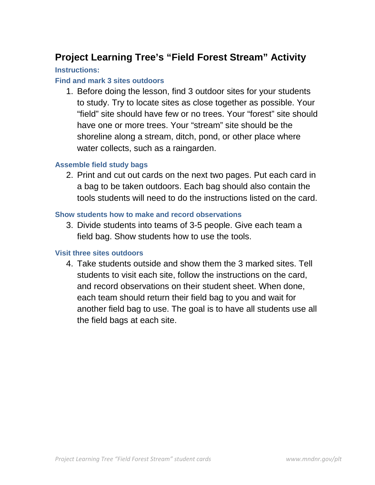## **Project Learning Tree's "Field Forest Stream" Activity**

#### **Instructions:**

#### **Find and mark 3 sites outdoors**

1. Before doing the lesson, find 3 outdoor sites for your students to study. Try to locate sites as close together as possible. Your "field" site should have few or no trees. Your "forest" site should have one or more trees. Your "stream" site should be the shoreline along a stream, ditch, pond, or other place where water collects, such as a raingarden.

#### **Assemble field study bags**

2. Print and cut out cards on the next two pages. Put each card in a bag to be taken outdoors. Each bag should also contain the tools students will need to do the instructions listed on the card.

#### **Show students how to make and record observations**

3. Divide students into teams of 3-5 people. Give each team a field bag. Show students how to use the tools.

#### **Visit three sites outdoors**

4. Take students outside and show them the 3 marked sites. Tell students to visit each site, follow the instructions on the card, and record observations on their student sheet. When done, each team should return their field bag to you and wait for another field bag to use. The goal is to have all students use all the field bags at each site.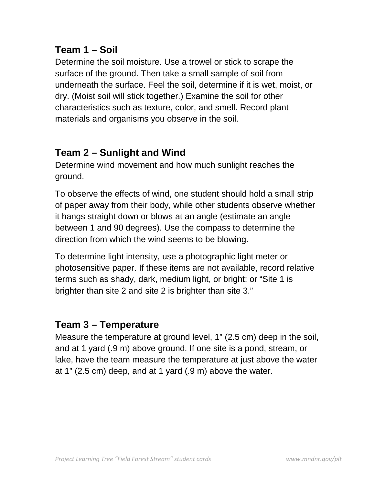### **Team 1 – Soil**

Determine the soil moisture. Use a trowel or stick to scrape the surface of the ground. Then take a small sample of soil from underneath the surface. Feel the soil, determine if it is wet, moist, or dry. (Moist soil will stick together.) Examine the soil for other characteristics such as texture, color, and smell. Record plant materials and organisms you observe in the soil.

# **Team 2 – Sunlight and Wind**

Determine wind movement and how much sunlight reaches the ground.

To observe the effects of wind, one student should hold a small strip of paper away from their body, while other students observe whether it hangs straight down or blows at an angle (estimate an angle between 1 and 90 degrees). Use the compass to determine the direction from which the wind seems to be blowing.

To determine light intensity, use a photographic light meter or photosensitive paper. If these items are not available, record relative terms such as shady, dark, medium light, or bright; or "Site 1 is brighter than site 2 and site 2 is brighter than site 3."

## **Team 3 – Temperature**

Measure the temperature at ground level, 1" (2.5 cm) deep in the soil, and at 1 yard (.9 m) above ground. If one site is a pond, stream, or lake, have the team measure the temperature at just above the water at 1" (2.5 cm) deep, and at 1 yard (.9 m) above the water.